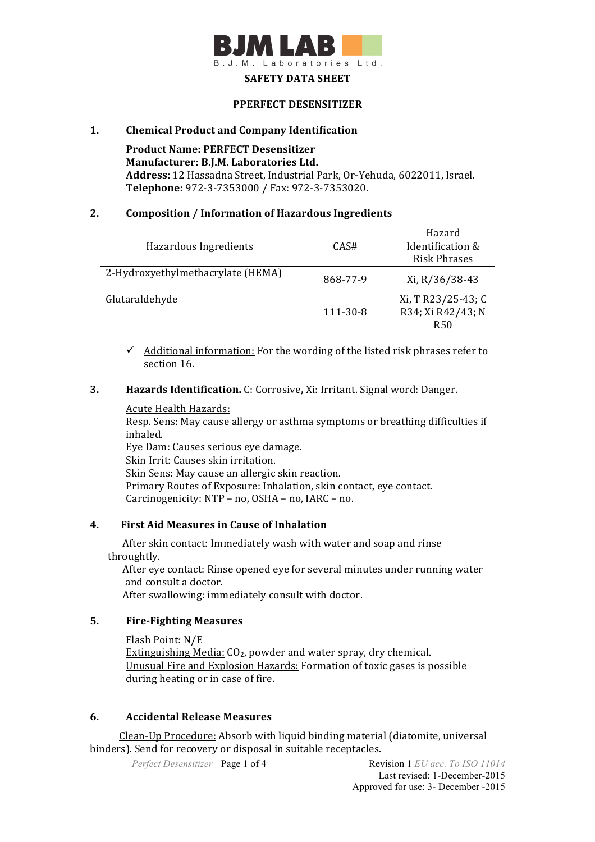

#### **SAFETY DATA SHEET**

#### **PPERFECT DESENSITIZER**

#### **1. Chemical Product and Company Identification**

**Product Name: PERFECT Desensitizer Manufacturer: B.J.M. Laboratories Ltd.** Address: 12 Hassadna Street, Industrial Park, Or-Yehuda, 6022011, Israel. **Telephone:** 972-3-7353000 / Fax: 972-3-7353020.

#### **2. Composition / Information of Hazardous Ingredients**

|                                   |          | Hazard             |
|-----------------------------------|----------|--------------------|
| Hazardous Ingredients             | CAS#     | Identification &   |
|                                   |          | Risk Phrases       |
| 2-Hydroxyethylmethacrylate (HEMA) | 868-77-9 | Xi, R/36/38-43     |
| Glutaraldehyde                    |          | Xi, T R23/25-43; C |
|                                   | 111-30-8 | R34; Xi R42/43; N  |
|                                   |          | R50                |

 $\checkmark$  Additional information: For the wording of the listed risk phrases refer to section 16.

## **3. Hazards Identification.** C: Corrosive, Xi: Irritant. Signal word: Danger.

#### Acute Health Hazards:

Resp. Sens: May cause allergy or asthma symptoms or breathing difficulties if inhaled.

Eye Dam: Causes serious eye damage. Skin Irrit: Causes skin irritation. Skin Sens: May cause an allergic skin reaction. Primary Routes of Exposure: Inhalation, skin contact, eye contact. Carcinogenicity:  $NTP - no$ ,  $OSHA - no$ ,  $IARC - no$ .

## **4. First Aid Measures in Cause of Inhalation**

After skin contact: Immediately wash with water and soap and rinse throughtly.

After eye contact: Rinse opened eye for several minutes under running water and consult a doctor.

After swallowing: immediately consult with doctor.

## **5. Fire-Fighting Measures**

Flash Point: N/E Extinguishing Media:  $CO<sub>2</sub>$ , powder and water spray, dry chemical. Unusual Fire and Explosion Hazards: Formation of toxic gases is possible during heating or in case of fire.

## **6. Accidental Release Measures**

Clean-Up Procedure: Absorb with liquid binding material (diatomite, universal binders). Send for recovery or disposal in suitable receptacles.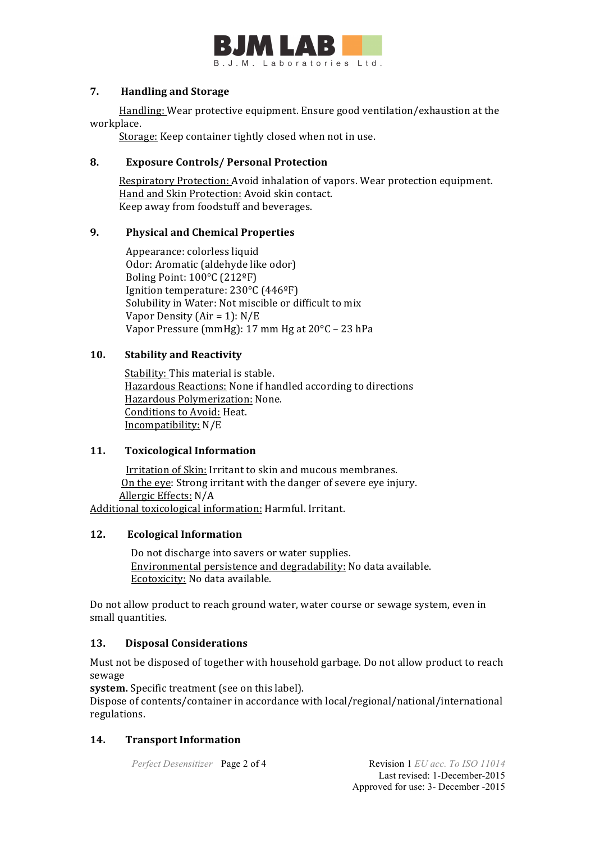

## **7.** Handling and Storage

Handling: Wear protective equipment. Ensure good ventilation/exhaustion at the workplace.

Storage: Keep container tightly closed when not in use.

# **8. Exposure Controls/ Personal Protection**

Respiratory Protection: Avoid inhalation of vapors. Wear protection equipment. Hand and Skin Protection: Avoid skin contact. Keep away from foodstuff and beverages.

## **9. Physical and Chemical Properties**

Appearance: colorless liquid Odor: Aromatic (aldehyde like odor) Boling Point:  $100^{\circ}$ C (212<sup>o</sup>F) Ignition temperature: 230°C (446°F) Solubility in Water: Not miscible or difficult to mix Vapor Density  $(Air = 1)$ :  $N/E$ Vapor Pressure  $(mmHe)$ : 17 mm Hg at  $20^{\circ}$ C – 23 hPa

# **10. Stability and Reactivity**

Stability: This material is stable. Hazardous Reactions: None if handled according to directions Hazardous Polymerization: None. Conditions to Avoid: Heat. Incompatibility: N/E

## **11.** Toxicological Information

Irritation of Skin: Irritant to skin and mucous membranes. On the eye: Strong irritant with the danger of severe eye injury. Allergic Effects: N/A Additional toxicological information: Harmful. Irritant.

## **12. Ecological Information**

Do not discharge into savers or water supplies. Environmental persistence and degradability: No data available. Ecotoxicity: No data available.

Do not allow product to reach ground water, water course or sewage system, even in small quantities.

## **13. Disposal Considerations**

Must not be disposed of together with household garbage. Do not allow product to reach sewage

system. Specific treatment (see on this label).

Dispose of contents/container in accordance with local/regional/national/international regulations.

# **14. Transport Information**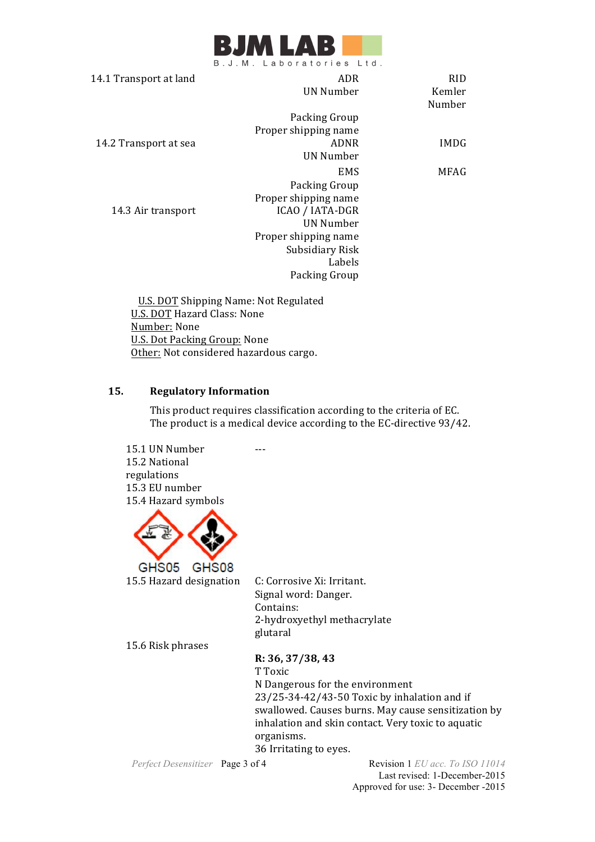

|                        | 5.0.1W. Labolatorics Ltd. |             |
|------------------------|---------------------------|-------------|
| 14.1 Transport at land | ADR                       | <b>RID</b>  |
|                        | UN Number                 | Kemler      |
|                        |                           | Number      |
|                        | Packing Group             |             |
|                        | Proper shipping name      |             |
| 14.2 Transport at sea  | ADNR                      | <b>IMDG</b> |
|                        | UN Number                 |             |
|                        | <b>EMS</b>                | MFAG        |
|                        | Packing Group             |             |
|                        | Proper shipping name      |             |
| 14.3 Air transport     | ICAO / IATA-DGR           |             |
|                        | <b>UN Number</b>          |             |
|                        | Proper shipping name      |             |
|                        | Subsidiary Risk           |             |
|                        | Labels                    |             |
|                        | Packing Group             |             |
|                        |                           |             |

U.S. DOT Shipping Name: Not Regulated U.S. DOT Hazard Class: None Number: None U.S. Dot Packing Group: None Other: Not considered hazardous cargo.

# **15. Regulatory Information**

This product requires classification according to the criteria of EC. The product is a medical device according to the EC-directive 93/42.

15.1 UN Number 15.2 National regulations 15.3 EU number 15.4 Hazard symbols



15.5 Hazard designation C: Corrosive Xi: Irritant.

Signal word: Danger. Contains: 2-hydroxyethyl methacrylate glutaral

15.6 Risk phrases

**R: 36, 37/38, 43** 

T Toxic N Dangerous for the environment  $23/25-34-42/43-50$  Toxic by inhalation and if swallowed. Causes burns. May cause sensitization by inhalation and skin contact. Very toxic to aquatic organisms. 36 Irritating to eyes.

*Perfect Desensitizer* **Page 3 of 4 Revision 1** *EU acc. To ISO 11014* Last revised: 1-December-2015 Approved for use: 3- December -2015